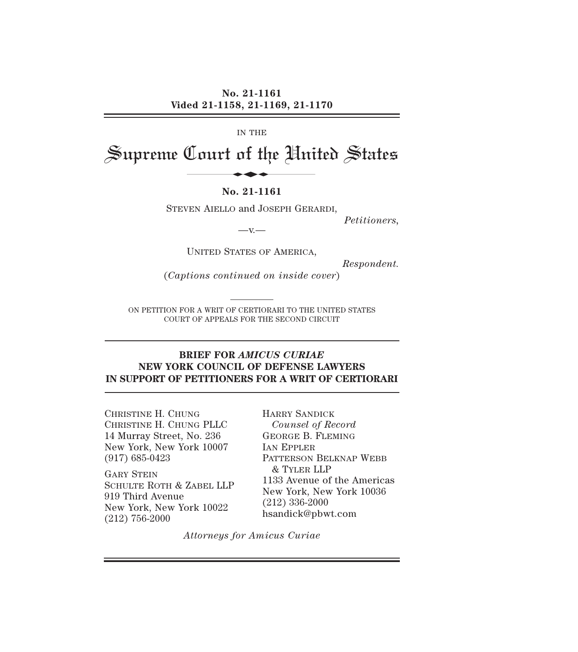IN THE

# Supreme Court of the United States

#### **No. 21-1161**

STEVEN AIELLO and JOSEPH GERARDI,

*Petitioners,* 

 $-V.$ 

UNITED STATES OF AMERICA,

*Respondent.* 

(*Captions continued on inside cover*)

ON PETITION FOR A WRIT OF CERTIORARI TO THE UNITED STATES COURT OF APPEALS FOR THE SECOND CIRCUIT

### **BRIEF FOR** *AMICUS CURIAE* **NEW YORK COUNCIL OF DEFENSE LAWYERS IN SUPPORT OF PETITIONERS FOR A WRIT OF CERTIORARI**

CHRISTINE H. CHUNG CHRISTINE H. CHUNG PLLC 14 Murray Street, No. 236 New York, New York 10007 (917) 685-0423

GARY STEIN SCHULTE ROTH & ZABEL LLP 919 Third Avenue New York, New York 10022 (212) 756-2000

HARRY SANDICK *Counsel of Record*  GEORGE B. FLEMING IAN EPPLER PATTERSON BELKNAP WEBB & TYLER LLP 1133 Avenue of the Americas New York, New York 10036 (212) 336-2000 hsandick@pbwt.com

*Attorneys for Amicus Curiae*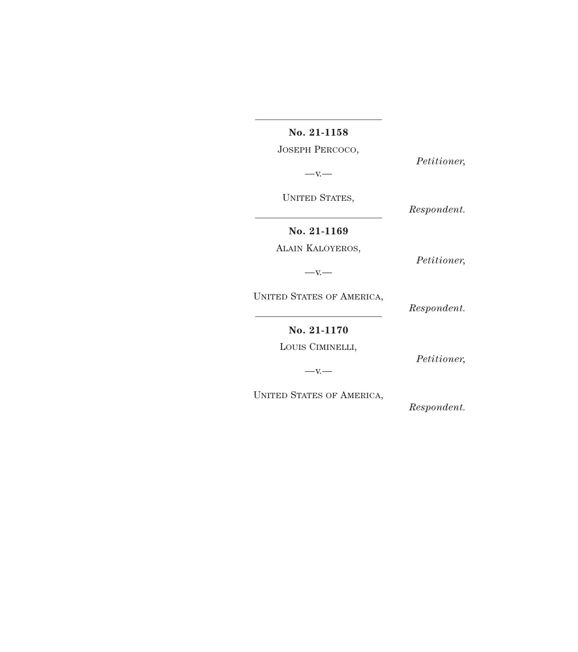**No. 21-1158** 

JOSEPH PERCOCO,

*Petitioner,* 

 $-x -$ 

UNITED STATES,

*Respondent.* 

*Petitioner,* 

**No. 21-1169** 

ALAIN KALOYEROS,

 $-x -$ 

UNITED STATES OF AMERICA,

*Respondent.* 

**No. 21-1170** 

LOUIS CIMINELLI,

*Petitioner,* 

 $-x -$ 

UNITED STATES OF AMERICA,

*Respondent.*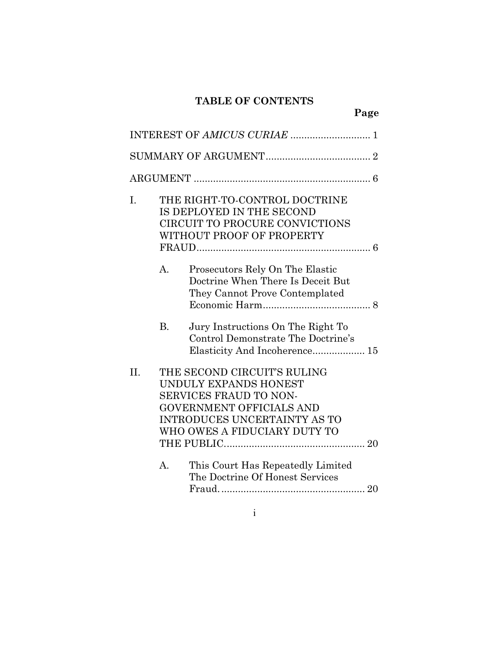# **TABLE OF CONTENTS**

**Page** 

| I.  |                | THE RIGHT-TO-CONTROL DOCTRINE<br>IS DEPLOYED IN THE SECOND<br>CIRCUIT TO PROCURE CONVICTIONS<br>WITHOUT PROOF OF PROPERTY                                                         |
|-----|----------------|-----------------------------------------------------------------------------------------------------------------------------------------------------------------------------------|
|     | A.             | Prosecutors Rely On The Elastic<br>Doctrine When There Is Deceit But<br>They Cannot Prove Contemplated                                                                            |
|     | $\mathbf{B}$ . | Jury Instructions On The Right To<br>Control Demonstrate The Doctrine's<br>Elasticity And Incoherence 15                                                                          |
| II. |                | THE SECOND CIRCUIT'S RULING<br>UNDULY EXPANDS HONEST<br>SERVICES FRAUD TO NON-<br>GOVERNMENT OFFICIALS AND<br><b>INTRODUCES UNCERTAINTY AS TO</b><br>WHO OWES A FIDUCIARY DUTY TO |
|     | A.             | This Court Has Repeatedly Limited<br>The Doctrine Of Honest Services                                                                                                              |

i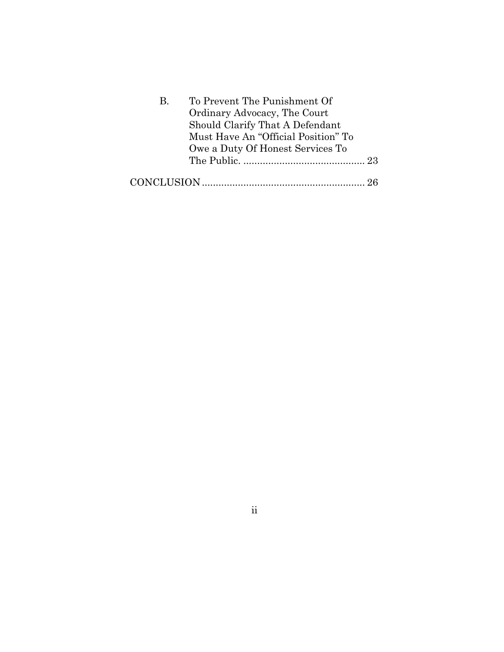| B. | To Prevent The Punishment Of        |  |
|----|-------------------------------------|--|
|    | Ordinary Advocacy, The Court        |  |
|    | Should Clarify That A Defendant     |  |
|    | Must Have An "Official Position" To |  |
|    | Owe a Duty Of Honest Services To    |  |
|    |                                     |  |
|    |                                     |  |

ii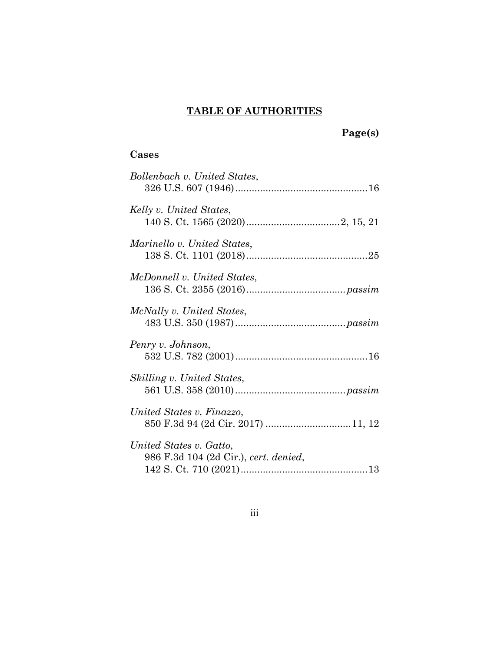# **TABLE OF AUTHORITIES**

 **Page(s)** 

# **Cases**

| Bollenbach v. United States,                                     |
|------------------------------------------------------------------|
| Kelly v. United States,                                          |
| Marinello v. United States,                                      |
| McDonnell v. United States.                                      |
| McNally v. United States,                                        |
| Penry v. Johnson,                                                |
| Skilling v. United States,                                       |
| United States v. Finazzo,<br>850 F.3d 94 (2d Cir. 2017) 11, 12   |
| United States v. Gatto,<br>986 F.3d 104 (2d Cir.), cert. denied, |

iii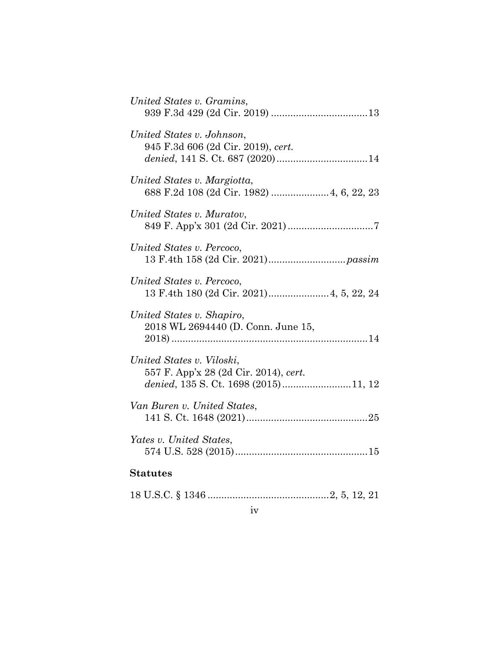| United States v. Gramins,                                                                                  |
|------------------------------------------------------------------------------------------------------------|
| United States v. Johnson,<br>945 F.3d 606 (2d Cir. 2019), cert.                                            |
| United States v. Margiotta,<br>688 F.2d 108 (2d Cir. 1982)  4, 6, 22, 23                                   |
| United States v. Muratov,                                                                                  |
| United States v. Percoco,                                                                                  |
| United States v. Percoco,                                                                                  |
| United States v. Shapiro,<br>2018 WL 2694440 (D. Conn. June 15,                                            |
| United States v. Viloski,<br>557 F. App'x 28 (2d Cir. 2014), cert.<br>denied, 135 S. Ct. 1698 (2015)11, 12 |
| Van Buren v. United States,                                                                                |
| Yates v. United States,                                                                                    |
| <b>Statutes</b>                                                                                            |
|                                                                                                            |

iv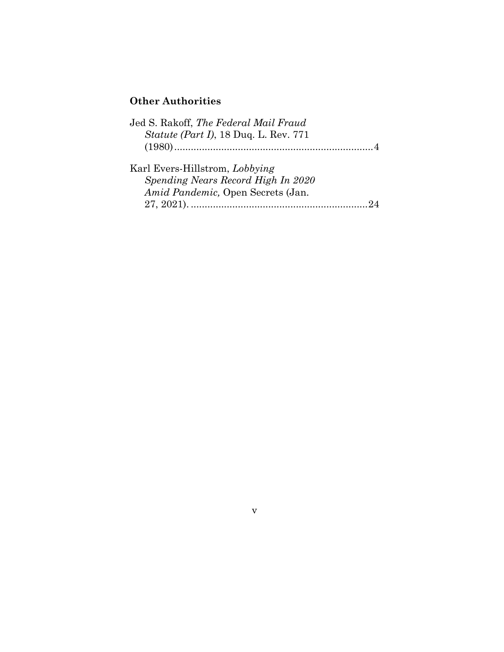# **Other Authorities**

| Jed S. Rakoff, The Federal Mail Fraud         |  |
|-----------------------------------------------|--|
| <i>Statute (Part I)</i> , 18 Duq. L. Rev. 771 |  |
|                                               |  |
| Karl Evers-Hillstrom, Lobbying                |  |
| Spending Nears Record High In 2020            |  |
| Amid Pandemic, Open Secrets (Jan.             |  |
|                                               |  |

v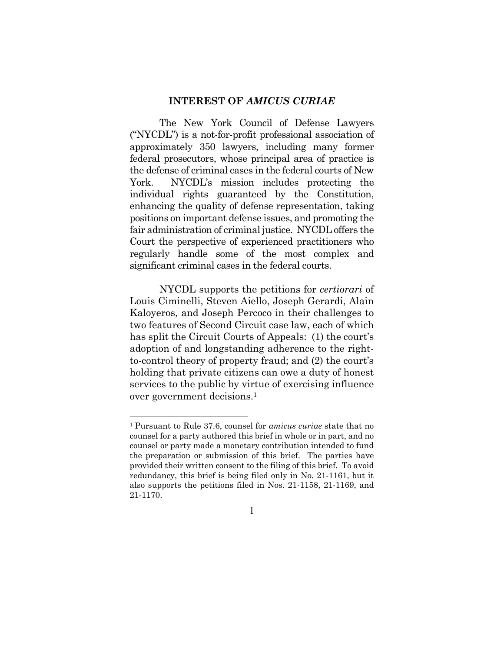#### **INTEREST OF** *AMICUS CURIAE*

The New York Council of Defense Lawyers ("NYCDL") is a not-for-profit professional association of approximately 350 lawyers, including many former federal prosecutors, whose principal area of practice is the defense of criminal cases in the federal courts of New York. NYCDL's mission includes protecting the individual rights guaranteed by the Constitution, enhancing the quality of defense representation, taking positions on important defense issues, and promoting the fair administration of criminal justice. NYCDL offers the Court the perspective of experienced practitioners who regularly handle some of the most complex and significant criminal cases in the federal courts.

NYCDL supports the petitions for *certiorari* of Louis Ciminelli, Steven Aiello, Joseph Gerardi, Alain Kaloyeros, and Joseph Percoco in their challenges to two features of Second Circuit case law, each of which has split the Circuit Courts of Appeals: (1) the court's adoption of and longstanding adherence to the rightto-control theory of property fraud; and (2) the court's holding that private citizens can owe a duty of honest services to the public by virtue of exercising influence over government decisions.1

<sup>1</sup> Pursuant to Rule 37.6, counsel for *amicus curiae* state that no counsel for a party authored this brief in whole or in part, and no counsel or party made a monetary contribution intended to fund the preparation or submission of this brief. The parties have provided their written consent to the filing of this brief. To avoid redundancy, this brief is being filed only in No. 21-1161, but it also supports the petitions filed in Nos. 21-1158, 21-1169, and 21-1170.

<sup>1</sup>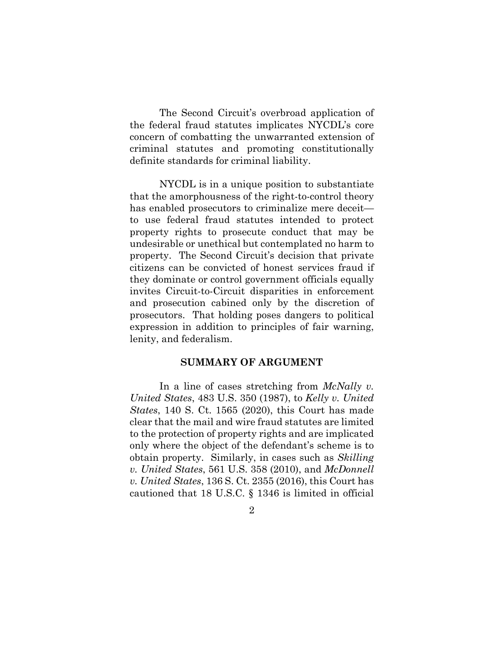The Second Circuit's overbroad application of the federal fraud statutes implicates NYCDL's core concern of combatting the unwarranted extension of criminal statutes and promoting constitutionally definite standards for criminal liability.

NYCDL is in a unique position to substantiate that the amorphousness of the right-to-control theory has enabled prosecutors to criminalize mere deceit to use federal fraud statutes intended to protect property rights to prosecute conduct that may be undesirable or unethical but contemplated no harm to property. The Second Circuit's decision that private citizens can be convicted of honest services fraud if they dominate or control government officials equally invites Circuit-to-Circuit disparities in enforcement and prosecution cabined only by the discretion of prosecutors. That holding poses dangers to political expression in addition to principles of fair warning, lenity, and federalism.

#### **SUMMARY OF ARGUMENT**

In a line of cases stretching from *McNally v. United States*, 483 U.S. 350 (1987), to *Kelly v. United States*, 140 S. Ct. 1565 (2020), this Court has made clear that the mail and wire fraud statutes are limited to the protection of property rights and are implicated only where the object of the defendant's scheme is to obtain property. Similarly, in cases such as *Skilling v. United States*, 561 U.S. 358 (2010), and *McDonnell v. United States*, 136 S. Ct. 2355 (2016), this Court has cautioned that 18 U.S.C. § 1346 is limited in official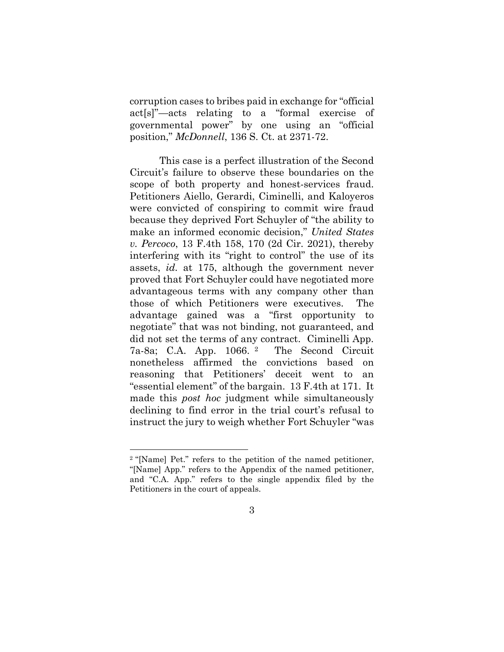corruption cases to bribes paid in exchange for "official act[s]"—acts relating to a "formal exercise of governmental power" by one using an "official position," *McDonnell*, 136 S. Ct. at 2371-72.

This case is a perfect illustration of the Second Circuit's failure to observe these boundaries on the scope of both property and honest-services fraud. Petitioners Aiello, Gerardi, Ciminelli, and Kaloyeros were convicted of conspiring to commit wire fraud because they deprived Fort Schuyler of "the ability to make an informed economic decision," *United States v. Percoco*, 13 F.4th 158, 170 (2d Cir. 2021), thereby interfering with its "right to control" the use of its assets, *id.* at 175, although the government never proved that Fort Schuyler could have negotiated more advantageous terms with any company other than those of which Petitioners were executives. The advantage gained was a "first opportunity to negotiate" that was not binding, not guaranteed, and did not set the terms of any contract. Ciminelli App. 7a-8a; C.A. App. 1066. 2 The Second Circuit nonetheless affirmed the convictions based on reasoning that Petitioners' deceit went to an "essential element" of the bargain. 13 F.4th at 171. It made this *post hoc* judgment while simultaneously declining to find error in the trial court's refusal to instruct the jury to weigh whether Fort Schuyler "was

<sup>2 &</sup>quot;[Name] Pet." refers to the petition of the named petitioner, "[Name] App." refers to the Appendix of the named petitioner, and "C.A. App." refers to the single appendix filed by the Petitioners in the court of appeals.

<sup>3</sup>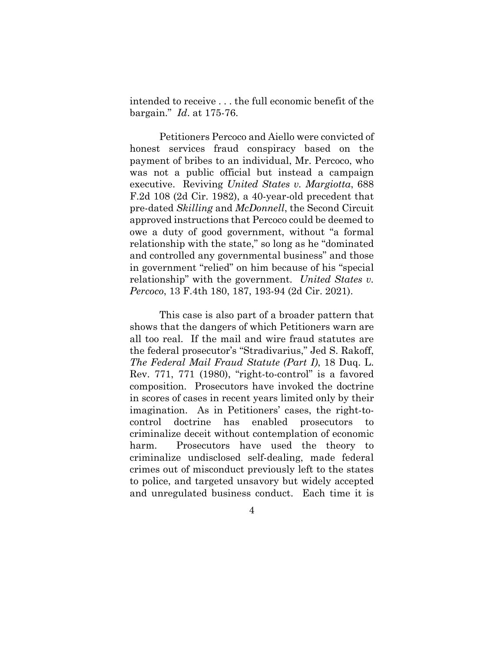intended to receive . . . the full economic benefit of the bargain." *Id*. at 175-76.

Petitioners Percoco and Aiello were convicted of honest services fraud conspiracy based on the payment of bribes to an individual, Mr. Percoco, who was not a public official but instead a campaign executive. Reviving *United States v. Margiotta*, 688 F.2d 108 (2d Cir. 1982), a 40-year-old precedent that pre-dated *Skilling* and *McDonnell*, the Second Circuit approved instructions that Percoco could be deemed to owe a duty of good government, without "a formal relationship with the state," so long as he "dominated and controlled any governmental business" and those in government "relied" on him because of his "special relationship" with the government. *United States v. Percoco*, 13 F.4th 180, 187, 193-94 (2d Cir. 2021).

This case is also part of a broader pattern that shows that the dangers of which Petitioners warn are all too real. If the mail and wire fraud statutes are the federal prosecutor's "Stradivarius," Jed S. Rakoff, *The Federal Mail Fraud Statute (Part I)*, 18 Duq. L. Rev. 771, 771 (1980), "right-to-control" is a favored composition. Prosecutors have invoked the doctrine in scores of cases in recent years limited only by their imagination. As in Petitioners' cases, the right-tocontrol doctrine has enabled prosecutors to criminalize deceit without contemplation of economic harm. Prosecutors have used the theory to criminalize undisclosed self-dealing, made federal crimes out of misconduct previously left to the states to police, and targeted unsavory but widely accepted and unregulated business conduct. Each time it is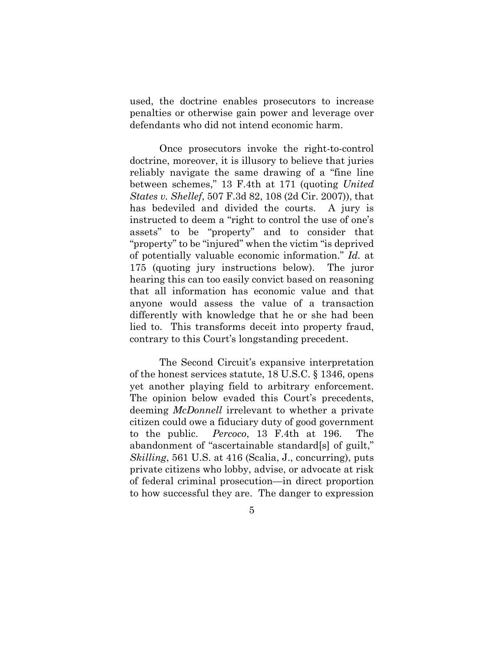used, the doctrine enables prosecutors to increase penalties or otherwise gain power and leverage over defendants who did not intend economic harm.

Once prosecutors invoke the right-to-control doctrine, moreover, it is illusory to believe that juries reliably navigate the same drawing of a "fine line between schemes," 13 F.4th at 171 (quoting *United States v. Shellef*, 507 F.3d 82, 108 (2d Cir. 2007)), that has bedeviled and divided the courts. A jury is instructed to deem a "right to control the use of one's assets" to be "property" and to consider that "property" to be "injured" when the victim "is deprived of potentially valuable economic information." *Id.* at 175 (quoting jury instructions below). The juror hearing this can too easily convict based on reasoning that all information has economic value and that anyone would assess the value of a transaction differently with knowledge that he or she had been lied to. This transforms deceit into property fraud, contrary to this Court's longstanding precedent.

The Second Circuit's expansive interpretation of the honest services statute, 18 U.S.C. § 1346, opens yet another playing field to arbitrary enforcement. The opinion below evaded this Court's precedents, deeming *McDonnell* irrelevant to whether a private citizen could owe a fiduciary duty of good government to the public. *Percoco*, 13 F.4th at 196. The abandonment of "ascertainable standard[s] of guilt," *Skilling*, 561 U.S. at 416 (Scalia, J., concurring), puts private citizens who lobby, advise, or advocate at risk of federal criminal prosecution*—*in direct proportion to how successful they are. The danger to expression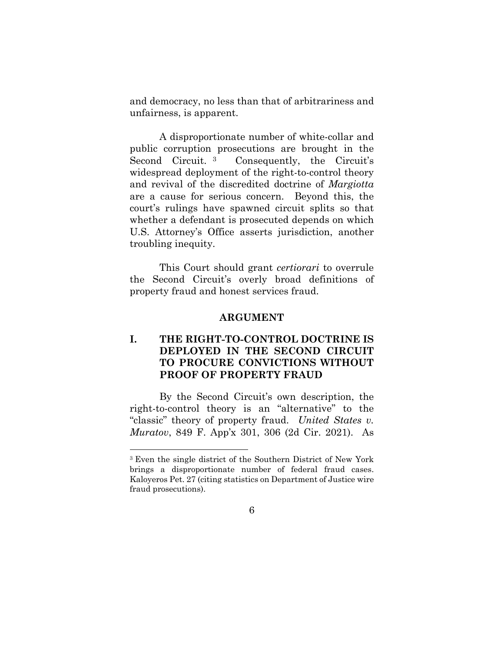and democracy, no less than that of arbitrariness and unfairness, is apparent.

A disproportionate number of white-collar and public corruption prosecutions are brought in the Second Circuit.<sup>3</sup> Consequently, the Circuit's widespread deployment of the right-to-control theory and revival of the discredited doctrine of *Margiotta* are a cause for serious concern. Beyond this, the court's rulings have spawned circuit splits so that whether a defendant is prosecuted depends on which U.S. Attorney's Office asserts jurisdiction, another troubling inequity.

This Court should grant *certiorari* to overrule the Second Circuit's overly broad definitions of property fraud and honest services fraud.

#### **ARGUMENT**

# **I. THE RIGHT-TO-CONTROL DOCTRINE IS DEPLOYED IN THE SECOND CIRCUIT TO PROCURE CONVICTIONS WITHOUT PROOF OF PROPERTY FRAUD**

By the Second Circuit's own description, the right-to-control theory is an "alternative" to the "classic" theory of property fraud. *United States v. Muratov*, 849 F. App'x 301, 306 (2d Cir. 2021). As

<sup>3</sup> Even the single district of the Southern District of New York brings a disproportionate number of federal fraud cases. Kaloyeros Pet. 27 (citing statistics on Department of Justice wire fraud prosecutions).

<sup>6</sup>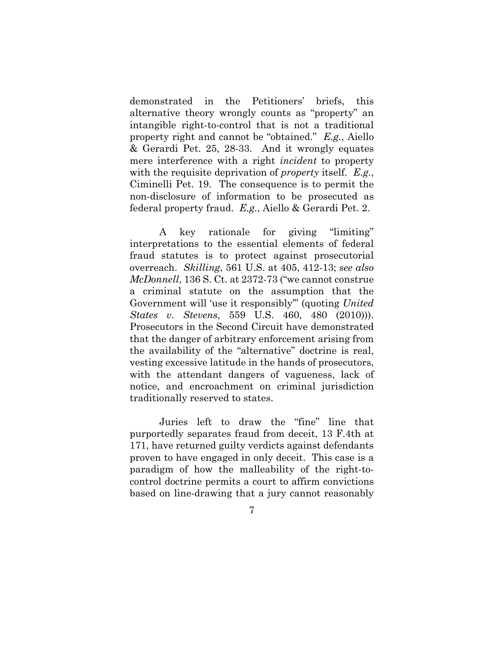demonstrated in the Petitioners' briefs, this alternative theory wrongly counts as "property" an intangible right-to-control that is not a traditional property right and cannot be "obtained." *E.g.*, Aiello & Gerardi Pet. 25, 28-33. And it wrongly equates mere interference with a right *incident* to property with the requisite deprivation of *property* itself. *E.g.*, Ciminelli Pet. 19. The consequence is to permit the non-disclosure of information to be prosecuted as federal property fraud. *E.g.*, Aiello & Gerardi Pet. 2.

A key rationale for giving "limiting" interpretations to the essential elements of federal fraud statutes is to protect against prosecutorial overreach. *Skilling*, 561 U.S. at 405, 412-13; *see also McDonnell*, 136 S. Ct. at 2372-73 ("we cannot construe a criminal statute on the assumption that the Government will 'use it responsibly'" (quoting *United States v. Stevens*, 559 U.S. 460, 480 (2010))). Prosecutors in the Second Circuit have demonstrated that the danger of arbitrary enforcement arising from the availability of the "alternative" doctrine is real, vesting excessive latitude in the hands of prosecutors, with the attendant dangers of vagueness, lack of notice, and encroachment on criminal jurisdiction traditionally reserved to states.

Juries left to draw the "fine" line that purportedly separates fraud from deceit, 13 F.4th at 171, have returned guilty verdicts against defendants proven to have engaged in only deceit. This case is a paradigm of how the malleability of the right-tocontrol doctrine permits a court to affirm convictions based on line-drawing that a jury cannot reasonably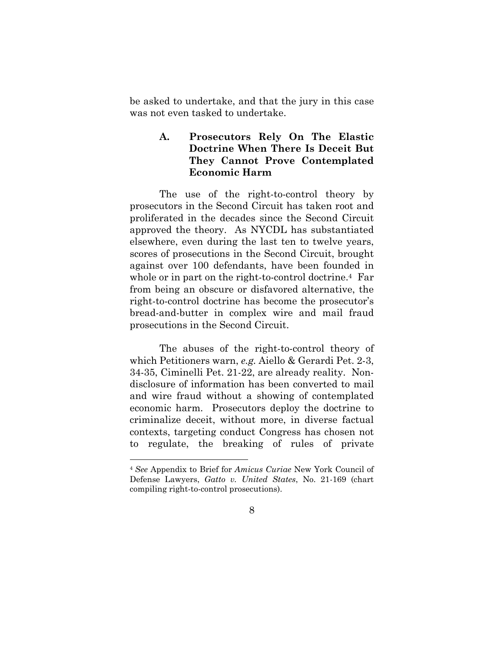be asked to undertake, and that the jury in this case was not even tasked to undertake.

#### **A. Prosecutors Rely On The Elastic Doctrine When There Is Deceit But They Cannot Prove Contemplated Economic Harm**

The use of the right-to-control theory by prosecutors in the Second Circuit has taken root and proliferated in the decades since the Second Circuit approved the theory. As NYCDL has substantiated elsewhere, even during the last ten to twelve years, scores of prosecutions in the Second Circuit, brought against over 100 defendants, have been founded in whole or in part on the right-to-control doctrine.<sup>4</sup> Far from being an obscure or disfavored alternative, the right-to-control doctrine has become the prosecutor's bread-and-butter in complex wire and mail fraud prosecutions in the Second Circuit.

The abuses of the right-to-control theory of which Petitioners warn, *e.g.* Aiello & Gerardi Pet. 2-3, 34-35, Ciminelli Pet. 21-22, are already reality. Nondisclosure of information has been converted to mail and wire fraud without a showing of contemplated economic harm. Prosecutors deploy the doctrine to criminalize deceit, without more, in diverse factual contexts, targeting conduct Congress has chosen not to regulate, the breaking of rules of private

<sup>4</sup> *See* Appendix to Brief for *Amicus Curiae* New York Council of Defense Lawyers, *Gatto v. United States*, No. 21-169 (chart compiling right-to-control prosecutions).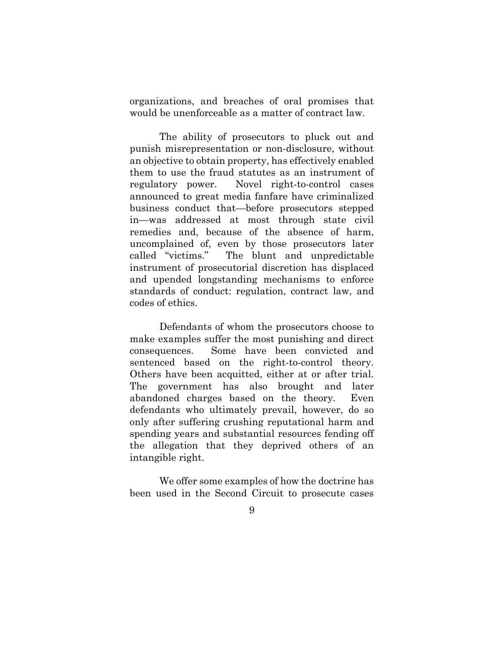organizations, and breaches of oral promises that would be unenforceable as a matter of contract law.

The ability of prosecutors to pluck out and punish misrepresentation or non-disclosure, without an objective to obtain property, has effectively enabled them to use the fraud statutes as an instrument of regulatory power. Novel right-to-control cases announced to great media fanfare have criminalized business conduct that—before prosecutors stepped in—was addressed at most through state civil remedies and, because of the absence of harm, uncomplained of, even by those prosecutors later called "victims." The blunt and unpredictable instrument of prosecutorial discretion has displaced and upended longstanding mechanisms to enforce standards of conduct: regulation, contract law, and codes of ethics.

Defendants of whom the prosecutors choose to make examples suffer the most punishing and direct consequences. Some have been convicted and sentenced based on the right-to-control theory. Others have been acquitted, either at or after trial. The government has also brought and later abandoned charges based on the theory. Even defendants who ultimately prevail, however, do so only after suffering crushing reputational harm and spending years and substantial resources fending off the allegation that they deprived others of an intangible right.

We offer some examples of how the doctrine has been used in the Second Circuit to prosecute cases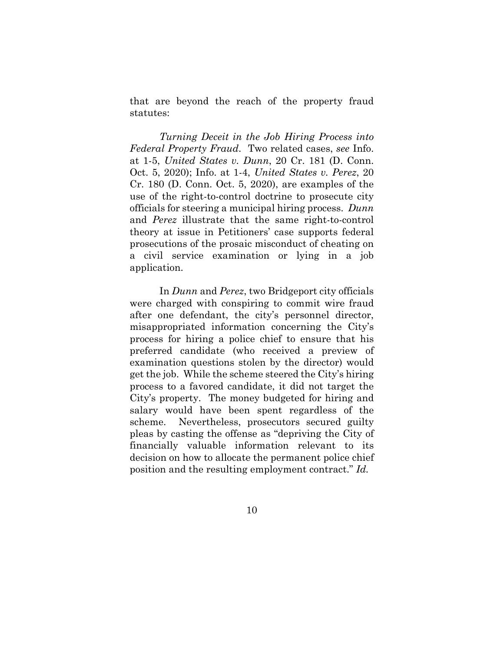that are beyond the reach of the property fraud statutes:

*Turning Deceit in the Job Hiring Process into Federal Property Fraud*. Two related cases, *see* Info. at 1-5, *United States v. Dunn*, 20 Cr. 181 (D. Conn. Oct. 5, 2020); Info. at 1-4, *United States v. Perez*, 20 Cr. 180 (D. Conn. Oct. 5, 2020), are examples of the use of the right-to-control doctrine to prosecute city officials for steering a municipal hiring process. *Dunn*  and *Perez* illustrate that the same right-to-control theory at issue in Petitioners' case supports federal prosecutions of the prosaic misconduct of cheating on a civil service examination or lying in a job application.

In *Dunn* and *Perez*, two Bridgeport city officials were charged with conspiring to commit wire fraud after one defendant, the city's personnel director, misappropriated information concerning the City's process for hiring a police chief to ensure that his preferred candidate (who received a preview of examination questions stolen by the director) would get the job. While the scheme steered the City's hiring process to a favored candidate, it did not target the City's property. The money budgeted for hiring and salary would have been spent regardless of the scheme. Nevertheless, prosecutors secured guilty pleas by casting the offense as "depriving the City of financially valuable information relevant to its decision on how to allocate the permanent police chief position and the resulting employment contract." *Id.*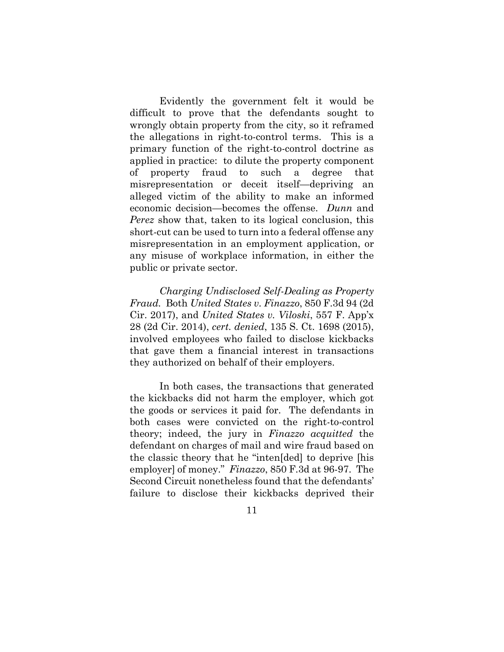Evidently the government felt it would be difficult to prove that the defendants sought to wrongly obtain property from the city, so it reframed the allegations in right-to-control terms. This is a primary function of the right-to-control doctrine as applied in practice: to dilute the property component of property fraud to such a degree that misrepresentation or deceit itself—depriving an alleged victim of the ability to make an informed economic decision—becomes the offense. *Dunn* and *Perez* show that, taken to its logical conclusion, this short-cut can be used to turn into a federal offense any misrepresentation in an employment application, or any misuse of workplace information, in either the public or private sector.

*Charging Undisclosed Self-Dealing as Property Fraud.* Both *United States v. Finazzo*, 850 F.3d 94 (2d Cir. 2017), and *United States v. Viloski*, 557 F. App'x 28 (2d Cir. 2014), *cert. denied*, 135 S. Ct. 1698 (2015), involved employees who failed to disclose kickbacks that gave them a financial interest in transactions they authorized on behalf of their employers.

In both cases, the transactions that generated the kickbacks did not harm the employer, which got the goods or services it paid for. The defendants in both cases were convicted on the right-to-control theory; indeed, the jury in *Finazzo acquitted* the defendant on charges of mail and wire fraud based on the classic theory that he "inten[ded] to deprive [his employer] of money." *Finazzo*, 850 F.3d at 96-97. The Second Circuit nonetheless found that the defendants' failure to disclose their kickbacks deprived their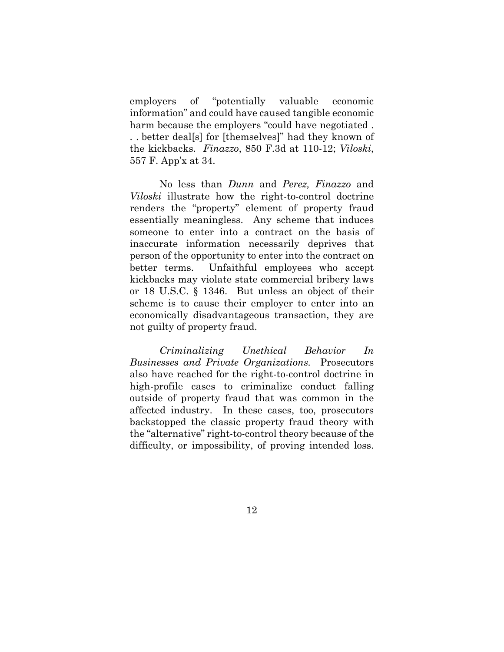employers of "potentially valuable economic information" and could have caused tangible economic harm because the employers "could have negotiated . . . better deal[s] for [themselves]" had they known of the kickbacks. *Finazzo*, 850 F.3d at 110-12; *Viloski*, 557 F. App'x at 34.

No less than *Dunn* and *Perez, Finazzo* and *Viloski* illustrate how the right-to-control doctrine renders the "property" element of property fraud essentially meaningless. Any scheme that induces someone to enter into a contract on the basis of inaccurate information necessarily deprives that person of the opportunity to enter into the contract on better terms. Unfaithful employees who accept kickbacks may violate state commercial bribery laws or 18 U.S.C. § 1346. But unless an object of their scheme is to cause their employer to enter into an economically disadvantageous transaction, they are not guilty of property fraud.

*Criminalizing Unethical Behavior In Businesses and Private Organizations.* Prosecutors also have reached for the right-to-control doctrine in high-profile cases to criminalize conduct falling outside of property fraud that was common in the affected industry. In these cases, too, prosecutors backstopped the classic property fraud theory with the "alternative" right-to-control theory because of the difficulty, or impossibility, of proving intended loss.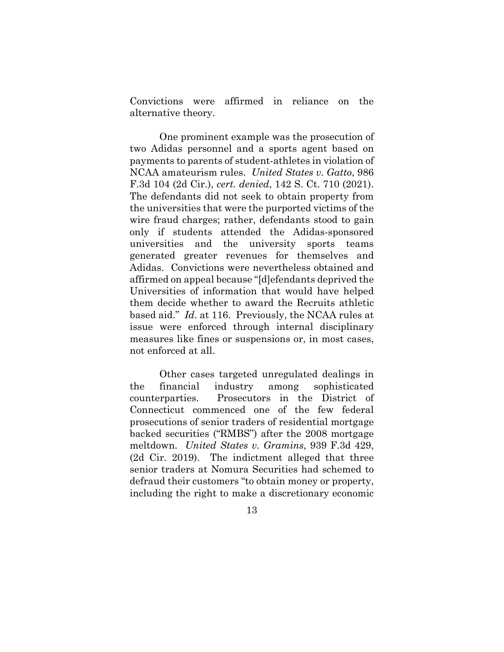Convictions were affirmed in reliance on the alternative theory.

One prominent example was the prosecution of two Adidas personnel and a sports agent based on payments to parents of student-athletes in violation of NCAA amateurism rules. *United States v. Gatto*, 986 F.3d 104 (2d Cir.), *cert. denied*, 142 S. Ct. 710 (2021). The defendants did not seek to obtain property from the universities that were the purported victims of the wire fraud charges; rather, defendants stood to gain only if students attended the Adidas-sponsored universities and the university sports teams generated greater revenues for themselves and Adidas. Convictions were nevertheless obtained and affirmed on appeal because "[d]efendants deprived the Universities of information that would have helped them decide whether to award the Recruits athletic based aid." *Id*. at 116. Previously, the NCAA rules at issue were enforced through internal disciplinary measures like fines or suspensions or, in most cases, not enforced at all.

Other cases targeted unregulated dealings in the financial industry among sophisticated counterparties. Prosecutors in the District of Connecticut commenced one of the few federal prosecutions of senior traders of residential mortgage backed securities ("RMBS") after the 2008 mortgage meltdown. *United States v. Gramins*, 939 F.3d 429, (2d Cir. 2019). The indictment alleged that three senior traders at Nomura Securities had schemed to defraud their customers "to obtain money or property, including the right to make a discretionary economic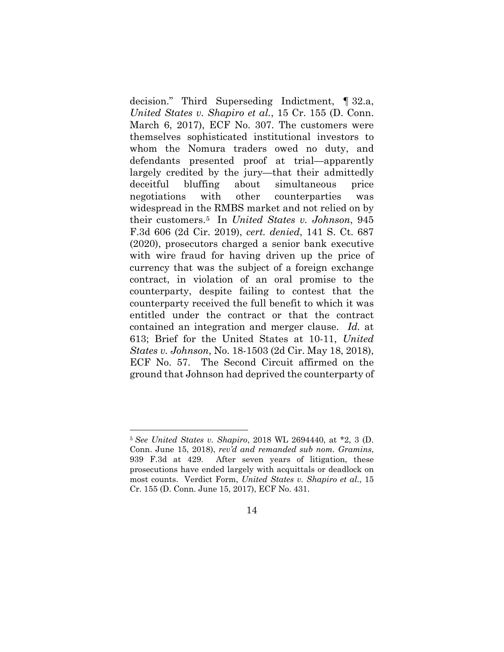decision." Third Superseding Indictment, ¶ 32.a, *United States v. Shapiro et al.*, 15 Cr. 155 (D. Conn. March 6, 2017), ECF No. 307. The customers were themselves sophisticated institutional investors to whom the Nomura traders owed no duty, and defendants presented proof at trial—apparently largely credited by the jury—that their admittedly deceitful bluffing about simultaneous price negotiations with other counterparties was widespread in the RMBS market and not relied on by their customers.5 In *United States v. Johnson*, 945 F.3d 606 (2d Cir. 2019), *cert. denied*, 141 S. Ct. 687 (2020), prosecutors charged a senior bank executive with wire fraud for having driven up the price of currency that was the subject of a foreign exchange contract, in violation of an oral promise to the counterparty, despite failing to contest that the counterparty received the full benefit to which it was entitled under the contract or that the contract contained an integration and merger clause. *Id.* at 613; Brief for the United States at 10-11, *United States v. Johnson*, No. 18-1503 (2d Cir. May 18, 2018), ECF No. 57. The Second Circuit affirmed on the ground that Johnson had deprived the counterparty of

<sup>5</sup> *See United States v. Shapiro*, 2018 WL 2694440, at \*2, 3 (D. Conn. June 15, 2018), *rev'd and remanded sub nom. Gramins*, 939 F.3d at 429. After seven years of litigation, these prosecutions have ended largely with acquittals or deadlock on most counts. Verdict Form, *United States v. Shapiro et al.*, 15 Cr. 155 (D. Conn. June 15, 2017), ECF No. 431.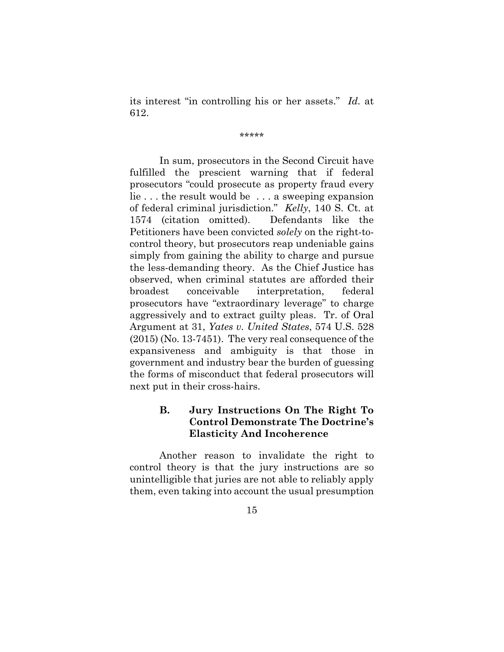its interest "in controlling his or her assets." *Id.* at 612.

\*\*\*\*\*

In sum, prosecutors in the Second Circuit have fulfilled the prescient warning that if federal prosecutors "could prosecute as property fraud every lie . . . the result would be . . . a sweeping expansion of federal criminal jurisdiction." *Kelly*, 140 S. Ct. at 1574 (citation omitted). Defendants like the Petitioners have been convicted *solely* on the right-tocontrol theory, but prosecutors reap undeniable gains simply from gaining the ability to charge and pursue the less-demanding theory. As the Chief Justice has observed, when criminal statutes are afforded their broadest conceivable interpretation, federal prosecutors have "extraordinary leverage" to charge aggressively and to extract guilty pleas. Tr. of Oral Argument at 31, *Yates v. United States*, 574 U.S. 528 (2015) (No. 13-7451). The very real consequence of the expansiveness and ambiguity is that those in government and industry bear the burden of guessing the forms of misconduct that federal prosecutors will next put in their cross-hairs.

# **B. Jury Instructions On The Right To Control Demonstrate The Doctrine's Elasticity And Incoherence**

Another reason to invalidate the right to control theory is that the jury instructions are so unintelligible that juries are not able to reliably apply them, even taking into account the usual presumption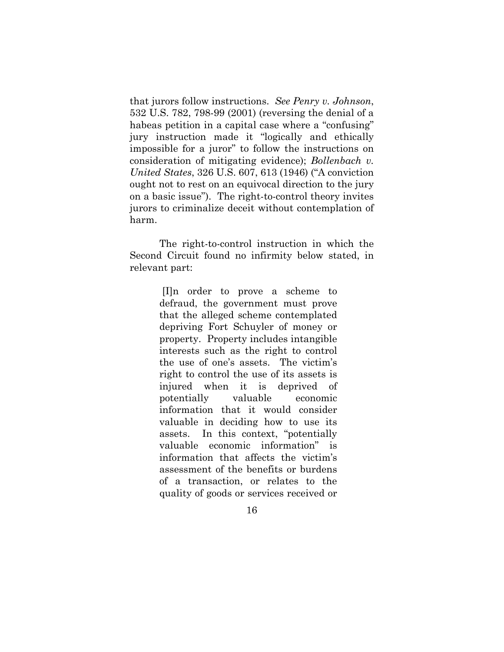that jurors follow instructions. *See Penry v. Johnson*, 532 U.S. 782, 798-99 (2001) (reversing the denial of a habeas petition in a capital case where a "confusing" jury instruction made it "logically and ethically impossible for a juror" to follow the instructions on consideration of mitigating evidence); *Bollenbach v. United States*, 326 U.S. 607, 613 (1946) ("A conviction ought not to rest on an equivocal direction to the jury on a basic issue"). The right-to-control theory invites jurors to criminalize deceit without contemplation of harm.

The right-to-control instruction in which the Second Circuit found no infirmity below stated, in relevant part:

> [I]n order to prove a scheme to defraud, the government must prove that the alleged scheme contemplated depriving Fort Schuyler of money or property. Property includes intangible interests such as the right to control the use of one's assets. The victim's right to control the use of its assets is injured when it is deprived of potentially valuable economic information that it would consider valuable in deciding how to use its assets. In this context, "potentially valuable economic information" is information that affects the victim's assessment of the benefits or burdens of a transaction, or relates to the quality of goods or services received or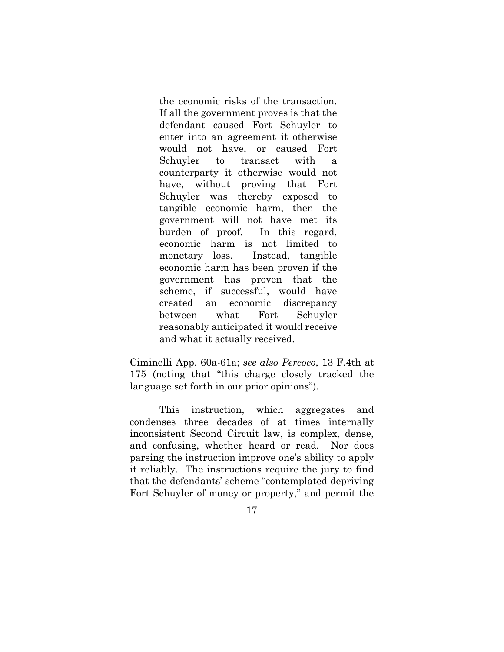the economic risks of the transaction. If all the government proves is that the defendant caused Fort Schuyler to enter into an agreement it otherwise would not have, or caused Fort Schuyler to transact with a counterparty it otherwise would not have, without proving that Fort Schuyler was thereby exposed to tangible economic harm, then the government will not have met its burden of proof. In this regard, economic harm is not limited to monetary loss. Instead, tangible economic harm has been proven if the government has proven that the scheme, if successful, would have created an economic discrepancy between what Fort Schuyler reasonably anticipated it would receive and what it actually received.

Ciminelli App. 60a-61a; *see also Percoco*, 13 F.4th at 175 (noting that "this charge closely tracked the language set forth in our prior opinions").

This instruction, which aggregates and condenses three decades of at times internally inconsistent Second Circuit law, is complex, dense, and confusing, whether heard or read. Nor does parsing the instruction improve one's ability to apply it reliably. The instructions require the jury to find that the defendants' scheme "contemplated depriving Fort Schuyler of money or property," and permit the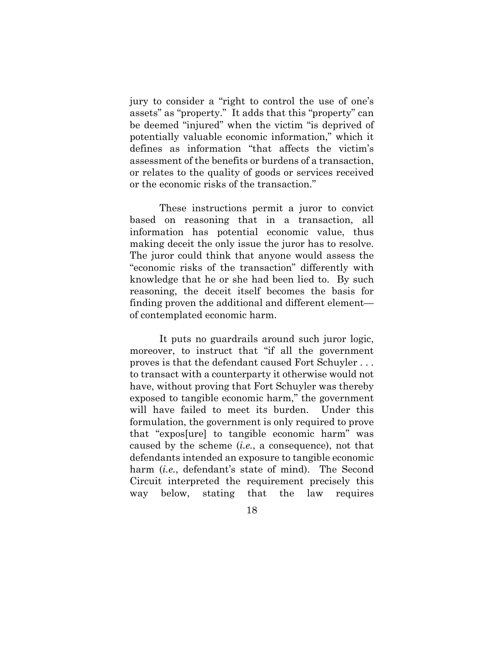jury to consider a "right to control the use of one's assets" as "property." It adds that this "property" can be deemed "injured" when the victim "is deprived of potentially valuable economic information," which it defines as information "that affects the victim's assessment of the benefits or burdens of a transaction, or relates to the quality of goods or services received or the economic risks of the transaction."

These instructions permit a juror to convict based on reasoning that in a transaction, all information has potential economic value, thus making deceit the only issue the juror has to resolve. The juror could think that anyone would assess the "economic risks of the transaction" differently with knowledge that he or she had been lied to. By such reasoning, the deceit itself becomes the basis for finding proven the additional and different element of contemplated economic harm.

It puts no guardrails around such juror logic, moreover, to instruct that "if all the government proves is that the defendant caused Fort Schuyler . . . to transact with a counterparty it otherwise would not have, without proving that Fort Schuyler was thereby exposed to tangible economic harm," the government will have failed to meet its burden. Under this formulation, the government is only required to prove that "expos[ure] to tangible economic harm" was caused by the scheme (*i.e.*, a consequence), not that defendants intended an exposure to tangible economic harm *(i.e.*, defendant's state of mind). The Second Circuit interpreted the requirement precisely this way below, stating that the law requires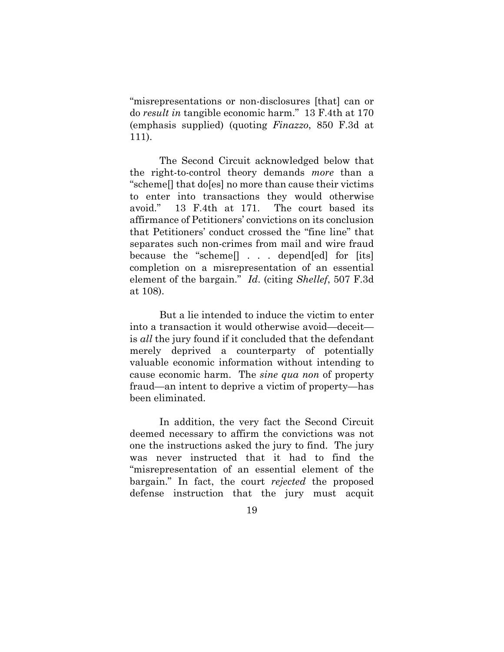"misrepresentations or non-disclosures [that] can or do *result in* tangible economic harm." 13 F.4th at 170 (emphasis supplied) (quoting *Finazzo*, 850 F.3d at 111).

The Second Circuit acknowledged below that the right-to-control theory demands *more* than a "scheme[] that do[es] no more than cause their victims to enter into transactions they would otherwise avoid." 13 F.4th at 171. The court based its affirmance of Petitioners' convictions on its conclusion that Petitioners' conduct crossed the "fine line" that separates such non-crimes from mail and wire fraud because the "scheme[] . . . depend[ed] for [its] completion on a misrepresentation of an essential element of the bargain." *Id*. (citing *Shellef*, 507 F.3d at 108).

But a lie intended to induce the victim to enter into a transaction it would otherwise avoid—deceit is *all* the jury found if it concluded that the defendant merely deprived a counterparty of potentially valuable economic information without intending to cause economic harm. The *sine qua non* of property fraud—an intent to deprive a victim of property—has been eliminated.

In addition, the very fact the Second Circuit deemed necessary to affirm the convictions was not one the instructions asked the jury to find. The jury was never instructed that it had to find the "misrepresentation of an essential element of the bargain." In fact, the court *rejected* the proposed defense instruction that the jury must acquit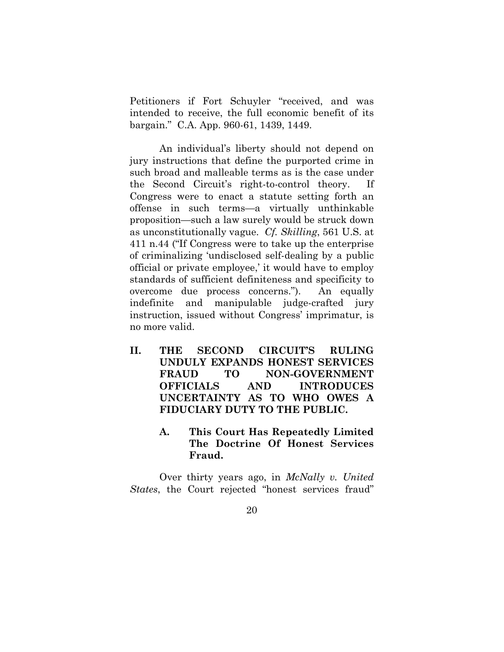Petitioners if Fort Schuyler "received, and was intended to receive, the full economic benefit of its bargain." C.A. App. 960-61, 1439, 1449.

An individual's liberty should not depend on jury instructions that define the purported crime in such broad and malleable terms as is the case under the Second Circuit's right-to-control theory. If Congress were to enact a statute setting forth an offense in such terms—a virtually unthinkable proposition—such a law surely would be struck down as unconstitutionally vague. *Cf. Skilling*, 561 U.S. at 411 n.44 ("If Congress were to take up the enterprise of criminalizing 'undisclosed self-dealing by a public official or private employee,' it would have to employ standards of sufficient definiteness and specificity to overcome due process concerns."). An equally indefinite and manipulable judge-crafted jury instruction, issued without Congress' imprimatur, is no more valid.

- **II. THE SECOND CIRCUIT'S RULING UNDULY EXPANDS HONEST SERVICES FRAUD TO NON-GOVERNMENT OFFICIALS AND INTRODUCES UNCERTAINTY AS TO WHO OWES A FIDUCIARY DUTY TO THE PUBLIC.** 
	- **A. This Court Has Repeatedly Limited The Doctrine Of Honest Services Fraud.**

Over thirty years ago, in *McNally v. United States*, the Court rejected "honest services fraud"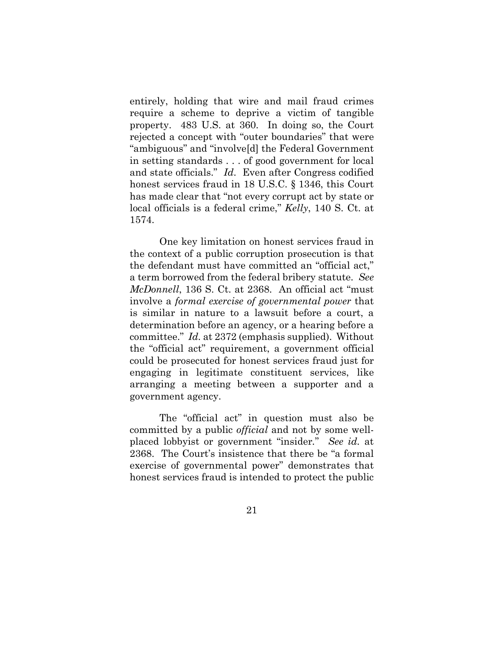entirely, holding that wire and mail fraud crimes require a scheme to deprive a victim of tangible property. 483 U.S. at 360. In doing so, the Court rejected a concept with "outer boundaries" that were "ambiguous" and "involve[d] the Federal Government in setting standards . . . of good government for local and state officials." *Id*. Even after Congress codified honest services fraud in 18 U.S.C. § 1346, this Court has made clear that "not every corrupt act by state or local officials is a federal crime," *Kelly*, 140 S. Ct. at 1574.

 One key limitation on honest services fraud in the context of a public corruption prosecution is that the defendant must have committed an "official act," a term borrowed from the federal bribery statute. *See McDonnell*, 136 S. Ct. at 2368. An official act "must involve a *formal exercise of governmental power* that is similar in nature to a lawsuit before a court, a determination before an agency, or a hearing before a committee." *Id.* at 2372 (emphasis supplied). Without the "official act" requirement, a government official could be prosecuted for honest services fraud just for engaging in legitimate constituent services, like arranging a meeting between a supporter and a government agency.

 The "official act" in question must also be committed by a public *official* and not by some wellplaced lobbyist or government "insider*.*" *See id.* at 2368. The Court's insistence that there be "a formal exercise of governmental power" demonstrates that honest services fraud is intended to protect the public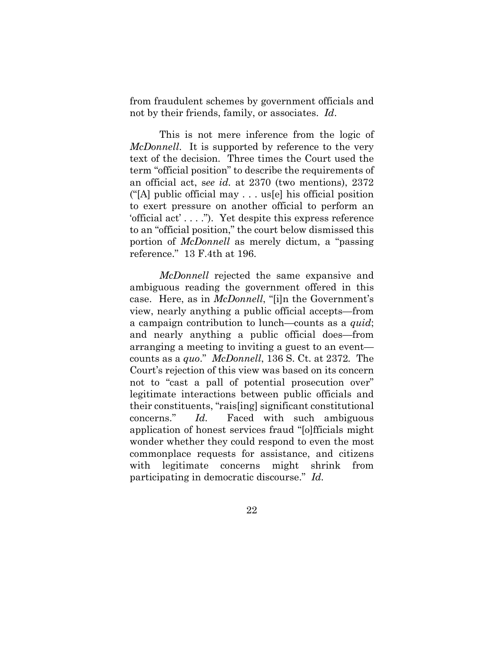from fraudulent schemes by government officials and not by their friends, family, or associates. *Id*.

This is not mere inference from the logic of *McDonnell*. It is supported by reference to the very text of the decision. Three times the Court used the term "official position" to describe the requirements of an official act, s*ee id.* at 2370 (two mentions), 2372 ("[A] public official may . . . us[e] his official position to exert pressure on another official to perform an 'official act' . . . ."). Yet despite this express reference to an "official position," the court below dismissed this portion of *McDonnell* as merely dictum, a "passing reference." 13 F.4th at 196.

*McDonnell* rejected the same expansive and ambiguous reading the government offered in this case. Here, as in *McDonnell*, "[i]n the Government's view, nearly anything a public official accepts—from a campaign contribution to lunch—counts as a *quid*; and nearly anything a public official does—from arranging a meeting to inviting a guest to an event counts as a *quo*." *McDonnell*, 136 S. Ct. at 2372*.* The Court's rejection of this view was based on its concern not to "cast a pall of potential prosecution over" legitimate interactions between public officials and their constituents, "rais[ing] significant constitutional concerns." *Id.* Faced with such ambiguous application of honest services fraud "[o]fficials might wonder whether they could respond to even the most commonplace requests for assistance, and citizens with legitimate concerns might shrink from participating in democratic discourse." *Id.*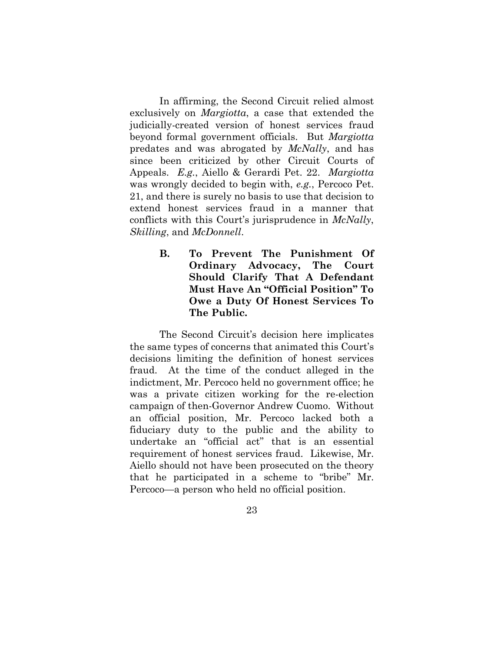In affirming, the Second Circuit relied almost exclusively on *Margiotta*, a case that extended the judicially-created version of honest services fraud beyond formal government officials. But *Margiotta*  predates and was abrogated by *McNally*, and has since been criticized by other Circuit Courts of Appeals. *E.g.*, Aiello & Gerardi Pet. 22. *Margiotta* was wrongly decided to begin with, *e.g.*, Percoco Pet. 21, and there is surely no basis to use that decision to extend honest services fraud in a manner that conflicts with this Court's jurisprudence in *McNally*, *Skilling*, and *McDonnell*.

> **B. To Prevent The Punishment Of Ordinary Advocacy, The Court Should Clarify That A Defendant Must Have An "Official Position" To Owe a Duty Of Honest Services To The Public.**

 The Second Circuit's decision here implicates the same types of concerns that animated this Court's decisions limiting the definition of honest services fraud. At the time of the conduct alleged in the indictment, Mr. Percoco held no government office; he was a private citizen working for the re-election campaign of then-Governor Andrew Cuomo. Without an official position, Mr. Percoco lacked both a fiduciary duty to the public and the ability to undertake an "official act" that is an essential requirement of honest services fraud. Likewise, Mr. Aiello should not have been prosecuted on the theory that he participated in a scheme to "bribe" Mr. Percoco—a person who held no official position.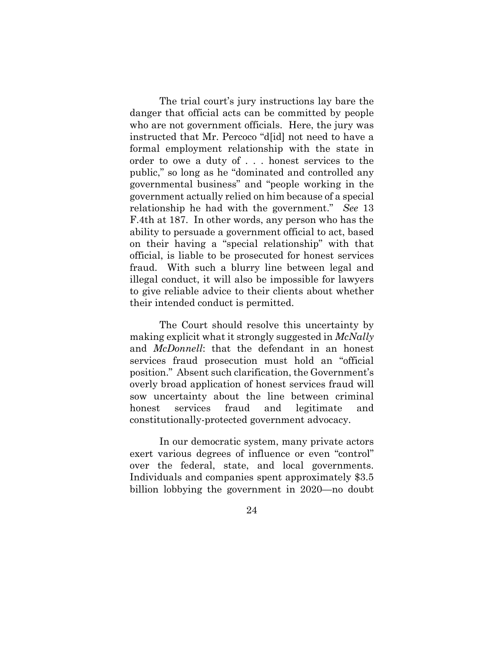The trial court's jury instructions lay bare the danger that official acts can be committed by people who are not government officials. Here, the jury was instructed that Mr. Percoco "d[id] not need to have a formal employment relationship with the state in order to owe a duty of . . . honest services to the public," so long as he "dominated and controlled any governmental business" and "people working in the government actually relied on him because of a special relationship he had with the government." *See* 13 F.4th at 187. In other words, any person who has the ability to persuade a government official to act, based on their having a "special relationship" with that official, is liable to be prosecuted for honest services fraud. With such a blurry line between legal and illegal conduct, it will also be impossible for lawyers to give reliable advice to their clients about whether their intended conduct is permitted.

The Court should resolve this uncertainty by making explicit what it strongly suggested in *McNally*  and *McDonnell*: that the defendant in an honest services fraud prosecution must hold an "official position." Absent such clarification, the Government's overly broad application of honest services fraud will sow uncertainty about the line between criminal honest services fraud and legitimate and constitutionally-protected government advocacy.

 In our democratic system, many private actors exert various degrees of influence or even "control" over the federal, state, and local governments. Individuals and companies spent approximately \$3.5 billion lobbying the government in 2020—no doubt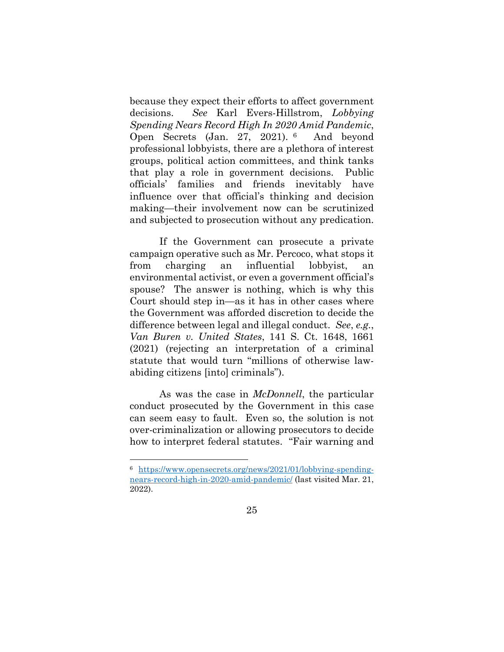because they expect their efforts to affect government decisions. *See* Karl Evers-Hillstrom, *Lobbying Spending Nears Record High In 2020 Amid Pandemic*, Open Secrets (Jan. 27, 2021). 6 And beyond professional lobbyists, there are a plethora of interest groups, political action committees, and think tanks that play a role in government decisions. Public officials' families and friends inevitably have influence over that official's thinking and decision making—their involvement now can be scrutinized and subjected to prosecution without any predication.

 If the Government can prosecute a private campaign operative such as Mr. Percoco, what stops it from charging an influential lobbyist, an environmental activist, or even a government official's spouse? The answer is nothing, which is why this Court should step in—as it has in other cases where the Government was afforded discretion to decide the difference between legal and illegal conduct. *See*, *e.g.*, *Van Buren v. United States*, 141 S. Ct. 1648, 1661 (2021) (rejecting an interpretation of a criminal statute that would turn "millions of otherwise lawabiding citizens [into] criminals").

As was the case in *McDonnell*, the particular conduct prosecuted by the Government in this case can seem easy to fault. Even so, the solution is not over-criminalization or allowing prosecutors to decide how to interpret federal statutes. "Fair warning and

<sup>6</sup> https://www.opensecrets.org/news/2021/01/lobbying-spendingnears-record-high-in-2020-amid-pandemic/ (last visited Mar. 21, 2022).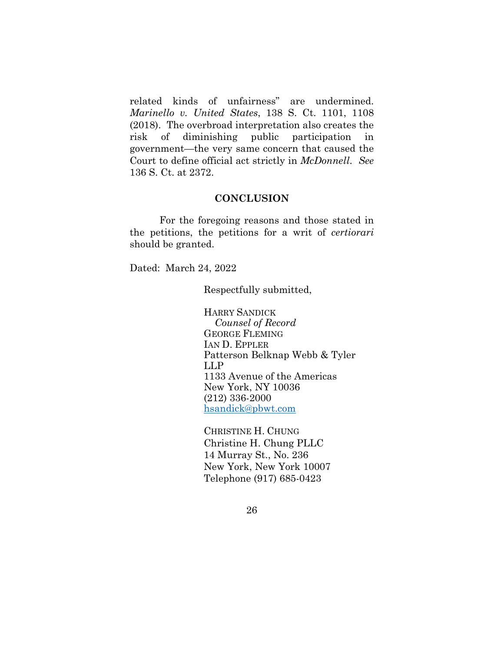related kinds of unfairness" are undermined. *Marinello v. United States*, 138 S. Ct. 1101, 1108 (2018). The overbroad interpretation also creates the risk of diminishing public participation in government—the very same concern that caused the Court to define official act strictly in *McDonnell*. *See* 136 S. Ct. at 2372.

#### **CONCLUSION**

For the foregoing reasons and those stated in the petitions, the petitions for a writ of *certiorari* should be granted.

Dated: March 24, 2022

Respectfully submitted,

HARRY SANDICK *Counsel of Record* GEORGE FLEMING IAN D. EPPLER Patterson Belknap Webb & Tyler LLP 1133 Avenue of the Americas New York, NY 10036 (212) 336-2000 hsandick@pbwt.com

CHRISTINE H. CHUNG Christine H. Chung PLLC 14 Murray St., No. 236 New York, New York 10007 Telephone (917) 685-0423